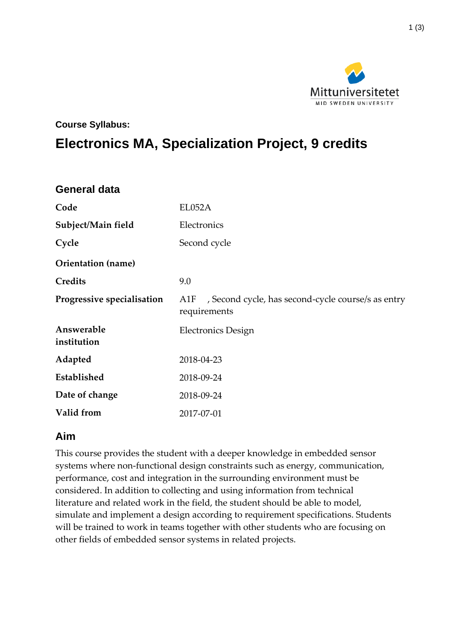

#### **Course Syllabus:**

# **Electronics MA, Specialization Project, 9 credits**

| <b>General data</b>        |                                                                           |
|----------------------------|---------------------------------------------------------------------------|
| Code                       | EL052A                                                                    |
| Subject/Main field         | Electronics                                                               |
| Cycle                      | Second cycle                                                              |
| Orientation (name)         |                                                                           |
| Credits                    | 9.0                                                                       |
| Progressive specialisation | , Second cycle, has second-cycle course/s as entry<br>A1F<br>requirements |
| Answerable<br>institution  | <b>Electronics Design</b>                                                 |
| Adapted                    | 2018-04-23                                                                |
| Established                | 2018-09-24                                                                |
| Date of change             | 2018-09-24                                                                |
| Valid from                 | 2017-07-01                                                                |

#### **Aim**

This course provides the student with a deeper knowledge in embedded sensor systems where non-functional design constraints such as energy, communication, performance, cost and integration in the surrounding environment must be considered. In addition to collecting and using information from technical literature and related work in the field, the student should be able to model, simulate and implement a design according to requirement specifications. Students will be trained to work in teams together with other students who are focusing on other fields of embedded sensor systems in related projects.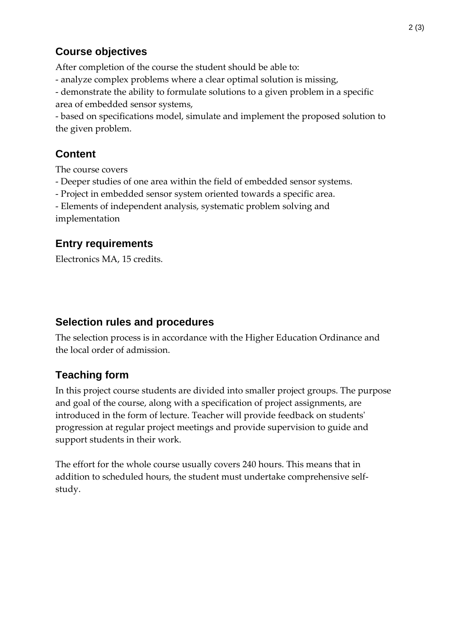#### **Course objectives**

After completion of the course the student should be able to:

- analyze complex problems where a clear optimal solution is missing,
- demonstrate the ability to formulate solutions to a given problem in a specific

area of embedded sensor systems,

- based on specifications model, simulate and implement the proposed solution to the given problem.

# **Content**

The course covers

- Deeper studies of one area within the field of embedded sensor systems.
- Project in embedded sensor system oriented towards a specific area.
- Elements of independent analysis, systematic problem solving and implementation

### **Entry requirements**

Electronics MA, 15 credits.

#### **Selection rules and procedures**

The selection process is in accordance with the Higher Education Ordinance and the local order of admission.

## **Teaching form**

In this project course students are divided into smaller project groups. The purpose and goal of the course, along with a specification of project assignments, are introduced in the form of lecture. Teacher will provide feedback on students' progression at regular project meetings and provide supervision to guide and support students in their work.

The effort for the whole course usually covers 240 hours. This means that in addition to scheduled hours, the student must undertake comprehensive selfstudy.